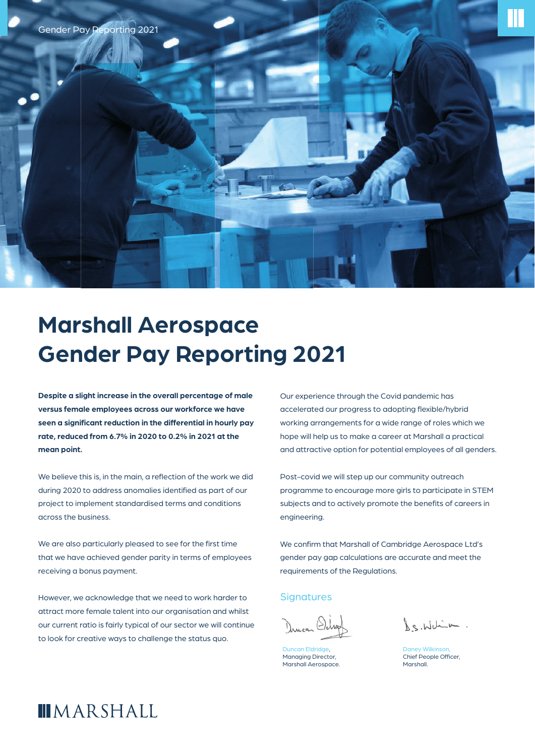

## **Marshall Aerospace Gender Pay Reporting 2021**

**Despite a slight increase in the overall percentage of male versus female employees across our workforce we have**  seen a significant reduction in the differential in hourly pay **rate, reduced from 6.7% in 2020 to 0.2% in 2021 at the mean point.**

We believe this is, in the main, a reflection of the work we did during 2020 to address anomalies identified as part of our project to implement standardised terms and conditions across the business.

We are also particularly pleased to see for the first time that we have achieved gender parity in terms of employees receiving a bonus payment.

However, we acknowledge that we need to work harder to attract more female talent into our organisation and whilst our current ratio is fairly typical of our sector we will continue to look for creative ways to challenge the status quo.

Our experience through the Covid pandemic has accelerated our progress to adopting flexible/hybrid working arrangements for a wide range of roles which we hope will help us to make a career at Marshall a practical and attractive option for potential employees of all genders.

Post-covid we will step up our community outreach programme to encourage more girls to participate in STEM subjects and to actively promote the benefits of careers in engineering.

We confirm that Marshall of Cambridge Aerospace Ltd's gender pay gap calculations are accurate and meet the requirements of the Regulations.

## **Signatures**

**Jncan Eldridge** Managing Director, Marshall Aerospace.

La. Whim.

Daney Wilkinso Chief People Officer, Marshall.

## **IMARSHALL**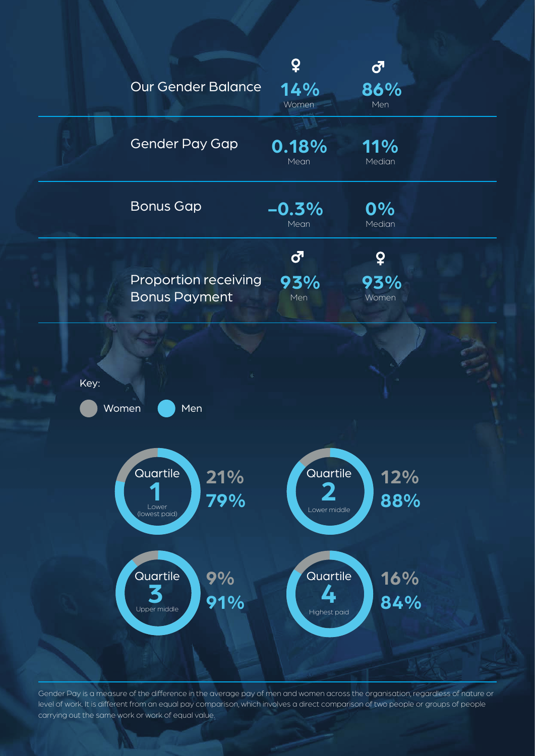

Gender Pay is a measure of the difference in the average pay of men and women across the organisation, regardless of nature or level of work. It is different from an equal pay comparison, which involves a direct comparison of two people or groups of people carrying out the same work or work of equal value.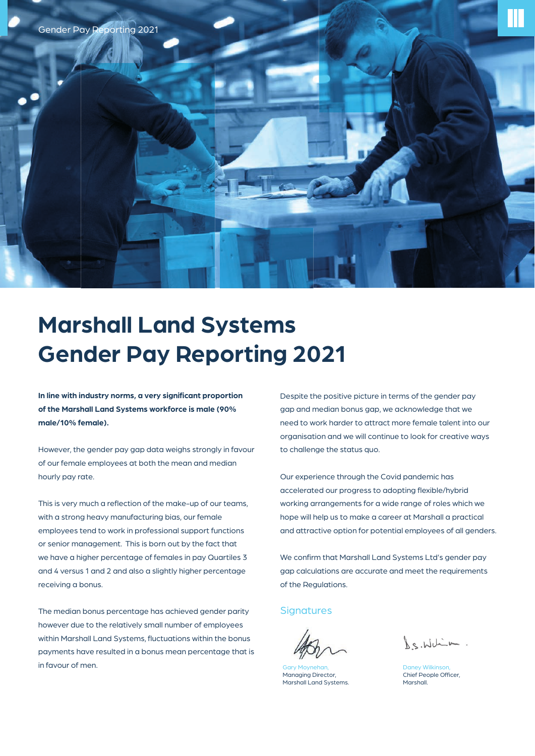

## **Marshall Land Systems Gender Pay Reporting 2021**

In line with industry norms, a very significant proportion **of the Marshall Land Systems workforce is male (90% male/10% female).**

However, the gender pay gap data weighs strongly in favour of our female employees at both the mean and median hourly pay rate.

This is very much a reflection of the make-up of our teams, with a strong heavy manufacturing bias, our female employees tend to work in professional support functions or senior management. This is born out by the fact that we have a higher percentage of females in pay Quartiles 3 and 4 versus 1 and 2 and also a slightly higher percentage receiving a bonus.

The median bonus percentage has achieved gender parity however due to the relatively small number of employees within Marshall Land Systems, fluctuations within the bonus payments have resulted in a bonus mean percentage that is in favour of men.

Despite the positive picture in terms of the gender pay gap and median bonus gap, we acknowledge that we need to work harder to attract more female talent into our organisation and we will continue to look for creative ways to challenge the status quo.

Our experience through the Covid pandemic has accelerated our progress to adopting flexible/hybrid working arrangements for a wide range of roles which we hope will help us to make a career at Marshall a practical and attractive option for potential employees of all genders.

We confirm that Marshall Land Systems Ltd's gender pay gap calculations are accurate and meet the requirements of the Regulations.

**Signatures** 

Gary Moynehan, Managing Director, Marshall Land Systems.

La. Whim.

v Wilkinso Chief People Officer, Marshall.